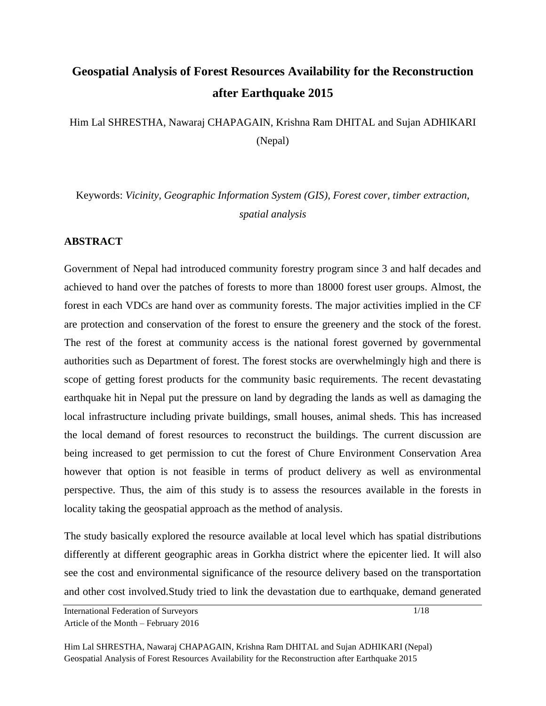# **Geospatial Analysis of Forest Resources Availability for the Reconstruction after Earthquake 2015**

Him Lal SHRESTHA, Nawaraj CHAPAGAIN, Krishna Ram DHITAL and Sujan ADHIKARI (Nepal)

Keywords: *Vicinity, Geographic Information System (GIS), Forest cover, timber extraction, spatial analysis*

#### **ABSTRACT**

Government of Nepal had introduced community forestry program since 3 and half decades and achieved to hand over the patches of forests to more than 18000 forest user groups. Almost, the forest in each VDCs are hand over as community forests. The major activities implied in the CF are protection and conservation of the forest to ensure the greenery and the stock of the forest. The rest of the forest at community access is the national forest governed by governmental authorities such as Department of forest. The forest stocks are overwhelmingly high and there is scope of getting forest products for the community basic requirements. The recent devastating earthquake hit in Nepal put the pressure on land by degrading the lands as well as damaging the local infrastructure including private buildings, small houses, animal sheds. This has increased the local demand of forest resources to reconstruct the buildings. The current discussion are being increased to get permission to cut the forest of Chure Environment Conservation Area however that option is not feasible in terms of product delivery as well as environmental perspective. Thus, the aim of this study is to assess the resources available in the forests in locality taking the geospatial approach as the method of analysis.

The study basically explored the resource available at local level which has spatial distributions differently at different geographic areas in Gorkha district where the epicenter lied. It will also see the cost and environmental significance of the resource delivery based on the transportation and other cost involved.Study tried to link the devastation due to earthquake, demand generated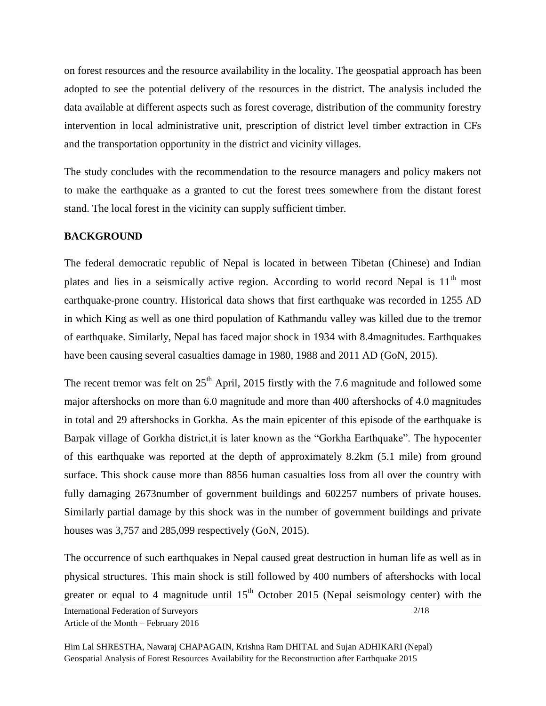on forest resources and the resource availability in the locality. The geospatial approach has been adopted to see the potential delivery of the resources in the district. The analysis included the data available at different aspects such as forest coverage, distribution of the community forestry intervention in local administrative unit, prescription of district level timber extraction in CFs and the transportation opportunity in the district and vicinity villages.

The study concludes with the recommendation to the resource managers and policy makers not to make the earthquake as a granted to cut the forest trees somewhere from the distant forest stand. The local forest in the vicinity can supply sufficient timber.

## **BACKGROUND**

The federal democratic republic of Nepal is located in between Tibetan (Chinese) and Indian plates and lies in a seismically active region. According to world record Nepal is  $11<sup>th</sup>$  most earthquake-prone country. Historical data shows that first earthquake was recorded in 1255 AD in which King as well as one third population of Kathmandu valley was killed due to the tremor of earthquake. Similarly, Nepal has faced major shock in 1934 with 8.4magnitudes. Earthquakes have been causing several casualties damage in 1980, 1988 and 2011 AD (GoN, 2015).

The recent tremor was felt on  $25<sup>th</sup>$  April, 2015 firstly with the 7.6 magnitude and followed some major aftershocks on more than 6.0 magnitude and more than 400 aftershocks of 4.0 magnitudes in total and 29 aftershocks in Gorkha. As the main epicenter of this episode of the earthquake is Barpak village of Gorkha district,it is later known as the "Gorkha Earthquake". The hypocenter of this earthquake was reported at the depth of approximately 8.2km (5.1 mile) from ground surface. This shock cause more than 8856 human casualties loss from all over the country with fully damaging 2673number of government buildings and 602257 numbers of private houses. Similarly partial damage by this shock was in the number of government buildings and private houses was 3,757 and 285,099 respectively (GoN, 2015).

The occurrence of such earthquakes in Nepal caused great destruction in human life as well as in physical structures. This main shock is still followed by 400 numbers of aftershocks with local greater or equal to 4 magnitude until  $15<sup>th</sup>$  October 2015 (Nepal seismology center) with the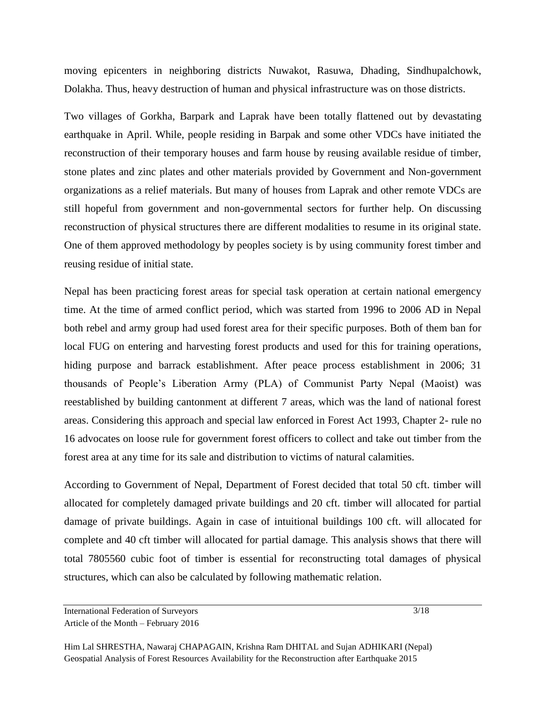moving epicenters in neighboring districts Nuwakot, Rasuwa, Dhading, Sindhupalchowk, Dolakha. Thus, heavy destruction of human and physical infrastructure was on those districts.

Two villages of Gorkha, Barpark and Laprak have been totally flattened out by devastating earthquake in April. While, people residing in Barpak and some other VDCs have initiated the reconstruction of their temporary houses and farm house by reusing available residue of timber, stone plates and zinc plates and other materials provided by Government and Non-government organizations as a relief materials. But many of houses from Laprak and other remote VDCs are still hopeful from government and non-governmental sectors for further help. On discussing reconstruction of physical structures there are different modalities to resume in its original state. One of them approved methodology by peoples society is by using community forest timber and reusing residue of initial state.

Nepal has been practicing forest areas for special task operation at certain national emergency time. At the time of armed conflict period, which was started from 1996 to 2006 AD in Nepal both rebel and army group had used forest area for their specific purposes. Both of them ban for local FUG on entering and harvesting forest products and used for this for training operations, hiding purpose and barrack establishment. After peace process establishment in 2006; 31 thousands of People's Liberation Army (PLA) of Communist Party Nepal (Maoist) was reestablished by building cantonment at different 7 areas, which was the land of national forest areas. Considering this approach and special law enforced in Forest Act 1993, Chapter 2- rule no 16 advocates on loose rule for government forest officers to collect and take out timber from the forest area at any time for its sale and distribution to victims of natural calamities.

According to Government of Nepal, Department of Forest decided that total 50 cft. timber will allocated for completely damaged private buildings and 20 cft. timber will allocated for partial damage of private buildings. Again in case of intuitional buildings 100 cft. will allocated for complete and 40 cft timber will allocated for partial damage. This analysis shows that there will total 7805560 cubic foot of timber is essential for reconstructing total damages of physical structures, which can also be calculated by following mathematic relation.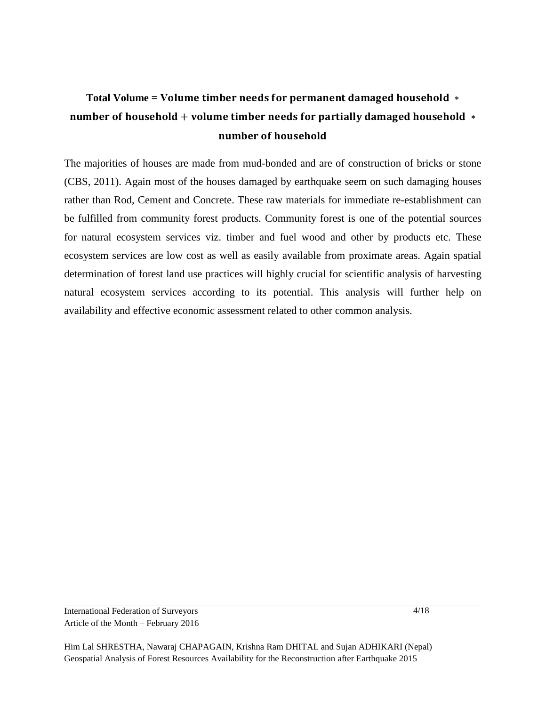# **Total Volume = V** number of household + volume timber needs for partially damaged household  $*$ number of household

The majorities of houses are made from mud-bonded and are of construction of bricks or stone (CBS, 2011). Again most of the houses damaged by earthquake seem on such damaging houses rather than Rod, Cement and Concrete. These raw materials for immediate re-establishment can be fulfilled from community forest products. Community forest is one of the potential sources for natural ecosystem services viz. timber and fuel wood and other by products etc. These ecosystem services are low cost as well as easily available from proximate areas. Again spatial determination of forest land use practices will highly crucial for scientific analysis of harvesting natural ecosystem services according to its potential. This analysis will further help on availability and effective economic assessment related to other common analysis.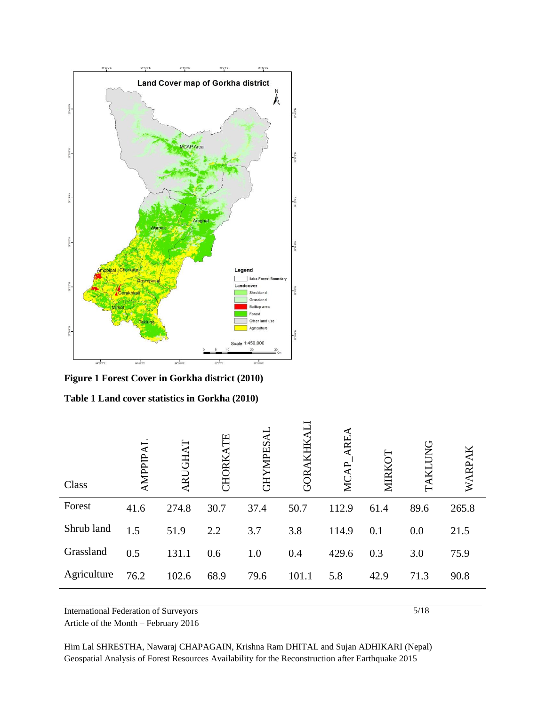

**Figure 1 Forest Cover in Gorkha district (2010)**

|  |  | Table 1 Land cover statistics in Gorkha (2010) |  |  |
|--|--|------------------------------------------------|--|--|
|--|--|------------------------------------------------|--|--|

| Class       | <b>AMPPIPAI</b> | ARUGHAT | Ë<br><b>HORK</b> | <b>GHYMPES</b> |       | RE<br>Ž | ⋝    | <b>JNG</b> | WARPAK |
|-------------|-----------------|---------|------------------|----------------|-------|---------|------|------------|--------|
| Forest      | 41.6            | 274.8   | 30.7             | 37.4           | 50.7  | 112.9   | 61.4 | 89.6       | 265.8  |
| Shrub land  | 1.5             | 51.9    | 2.2              | 3.7            | 3.8   | 114.9   | 0.1  | 0.0        | 21.5   |
| Grassland   | 0.5             | 131.1   | 0.6              | 1.0            | 0.4   | 429.6   | 0.3  | 3.0        | 75.9   |
| Agriculture | 76.2            | 102.6   | 68.9             | 79.6           | 101.1 | 5.8     | 42.9 | 71.3       | 90.8   |

International Federation of Surveyors

Article of the Month – February 2016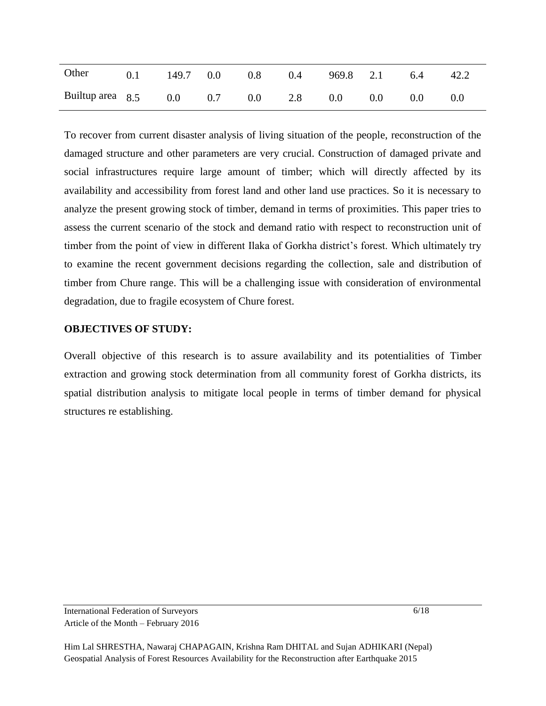| Other                        |  | $0.1$ 149.7 0.0 0.8 0.4 |         | 969.8 2.1 6.4 |     | 42.2 |
|------------------------------|--|-------------------------|---------|---------------|-----|------|
| Builtup area 8.5 0.0 0.7 0.0 |  |                         | 2.8 0.0 | $0.0\,$       | 0.0 |      |

To recover from current disaster analysis of living situation of the people, reconstruction of the damaged structure and other parameters are very crucial. Construction of damaged private and social infrastructures require large amount of timber; which will directly affected by its availability and accessibility from forest land and other land use practices. So it is necessary to analyze the present growing stock of timber, demand in terms of proximities. This paper tries to assess the current scenario of the stock and demand ratio with respect to reconstruction unit of timber from the point of view in different Ilaka of Gorkha district's forest. Which ultimately try to examine the recent government decisions regarding the collection, sale and distribution of timber from Chure range. This will be a challenging issue with consideration of environmental degradation, due to fragile ecosystem of Chure forest.

#### **OBJECTIVES OF STUDY:**

Overall objective of this research is to assure availability and its potentialities of Timber extraction and growing stock determination from all community forest of Gorkha districts, its spatial distribution analysis to mitigate local people in terms of timber demand for physical structures re establishing.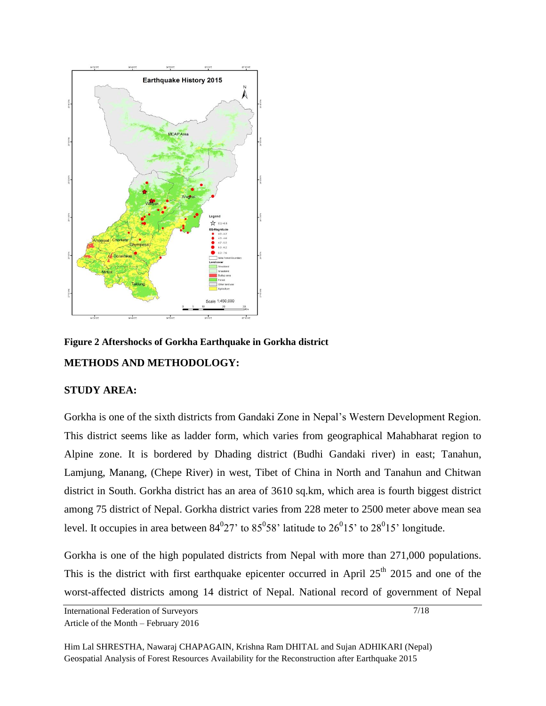

**Figure 2 Aftershocks of Gorkha Earthquake in Gorkha district METHODS AND METHODOLOGY:**

#### **STUDY AREA:**

Gorkha is one of the sixth districts from Gandaki Zone in Nepal's Western Development Region. This district seems like as ladder form, which varies from geographical Mahabharat region to Alpine zone. It is bordered by Dhading district (Budhi Gandaki river) in east; Tanahun, Lamjung, Manang, (Chepe River) in west, Tibet of China in North and Tanahun and Chitwan district in South. Gorkha district has an area of 3610 sq.km, which area is fourth biggest district among 75 district of Nepal. Gorkha district varies from 228 meter to 2500 meter above mean sea level. It occupies in area between  $84^{0}27$  to  $85^{0}58$  latitude to  $26^{0}15$  to  $28^{0}15$  longitude.

Gorkha is one of the high populated districts from Nepal with more than 271,000 populations. This is the district with first earthquake epicenter occurred in April  $25<sup>th</sup>$  2015 and one of the worst-affected districts among 14 district of Nepal. National record of government of Nepal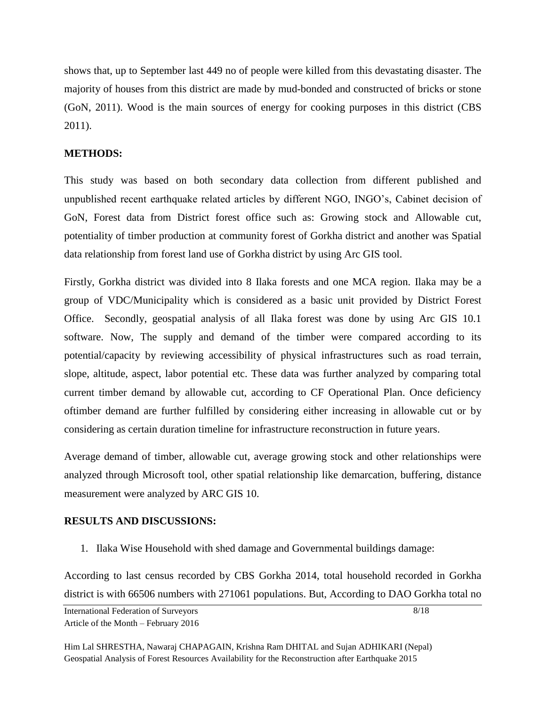shows that, up to September last 449 no of people were killed from this devastating disaster. The majority of houses from this district are made by mud-bonded and constructed of bricks or stone (GoN, 2011). Wood is the main sources of energy for cooking purposes in this district (CBS 2011).

### **METHODS:**

This study was based on both secondary data collection from different published and unpublished recent earthquake related articles by different NGO, INGO's, Cabinet decision of GoN, Forest data from District forest office such as: Growing stock and Allowable cut, potentiality of timber production at community forest of Gorkha district and another was Spatial data relationship from forest land use of Gorkha district by using Arc GIS tool.

Firstly, Gorkha district was divided into 8 Ilaka forests and one MCA region. Ilaka may be a group of VDC/Municipality which is considered as a basic unit provided by District Forest Office. Secondly, geospatial analysis of all Ilaka forest was done by using Arc GIS 10.1 software. Now, The supply and demand of the timber were compared according to its potential/capacity by reviewing accessibility of physical infrastructures such as road terrain, slope, altitude, aspect, labor potential etc. These data was further analyzed by comparing total current timber demand by allowable cut, according to CF Operational Plan. Once deficiency oftimber demand are further fulfilled by considering either increasing in allowable cut or by considering as certain duration timeline for infrastructure reconstruction in future years.

Average demand of timber, allowable cut, average growing stock and other relationships were analyzed through Microsoft tool, other spatial relationship like demarcation, buffering, distance measurement were analyzed by ARC GIS 10.

## **RESULTS AND DISCUSSIONS:**

1. Ilaka Wise Household with shed damage and Governmental buildings damage:

According to last census recorded by CBS Gorkha 2014, total household recorded in Gorkha district is with 66506 numbers with 271061 populations. But, According to DAO Gorkha total no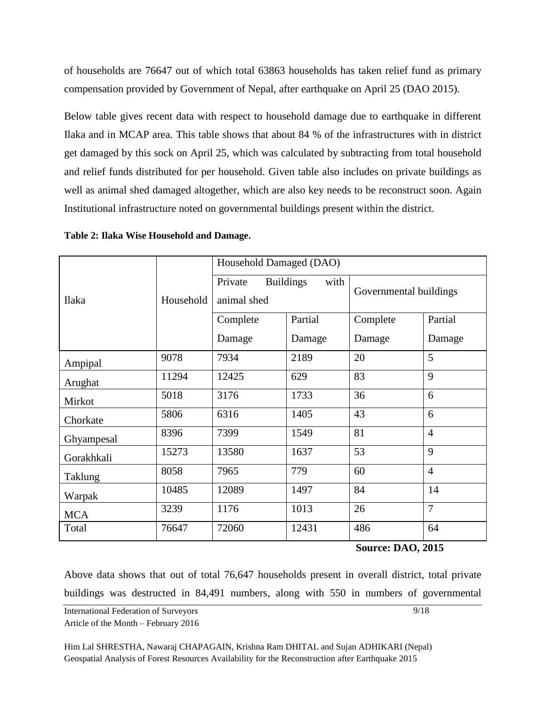of households are 76647 out of which total 63863 households has taken relief fund as primary compensation provided by Government of Nepal, after earthquake on April 25 (DAO 2015).

Below table gives recent data with respect to household damage due to earthquake in different Ilaka and in MCAP area. This table shows that about 84 % of the infrastructures with in district get damaged by this sock on April 25, which was calculated by subtracting from total household and relief funds distributed for per household. Given table also includes on private buildings as well as animal shed damaged altogether, which are also key needs to be reconstruct soon. Again Institutional infrastructure noted on governmental buildings present within the district.

|            |           | Household Damaged (DAO) |                          |                        |                |  |  |  |
|------------|-----------|-------------------------|--------------------------|------------------------|----------------|--|--|--|
| Ilaka      | Household | Private<br>animal shed  | <b>Buildings</b><br>with | Governmental buildings |                |  |  |  |
|            |           | Complete                | Partial                  | Complete               | Partial        |  |  |  |
|            |           | Damage                  | Damage                   | Damage                 | Damage         |  |  |  |
| Ampipal    | 9078      | 7934                    | 2189                     | 20                     | 5              |  |  |  |
| Arughat    | 11294     | 12425                   | 629                      | 83                     | 9              |  |  |  |
| Mirkot     | 5018      | 3176                    | 1733                     | 36                     | 6              |  |  |  |
| Chorkate   | 5806      | 6316                    | 1405                     | 43                     | 6              |  |  |  |
| Ghyampesal | 8396      | 7399                    | 1549                     | 81                     | $\overline{4}$ |  |  |  |
| Gorakhkali | 15273     | 13580                   | 1637                     | 53                     | 9              |  |  |  |
| Taklung    | 8058      | 7965                    | 779                      | 60                     | $\overline{4}$ |  |  |  |
| Warpak     | 10485     | 12089                   | 1497                     | 84                     | 14             |  |  |  |
| <b>MCA</b> | 3239      | 1176                    | 1013                     | 26                     | $\overline{7}$ |  |  |  |
| Total      | 76647     | 72060                   | 12431                    | 486                    | 64             |  |  |  |

**Table 2: Ilaka Wise Household and Damage.**

**Source: DAO, 2015**

Above data shows that out of total 76,647 households present in overall district, total private buildings was destructed in 84,491 numbers, along with 550 in numbers of governmental

International Federation of Surveyors Article of the Month – February 2016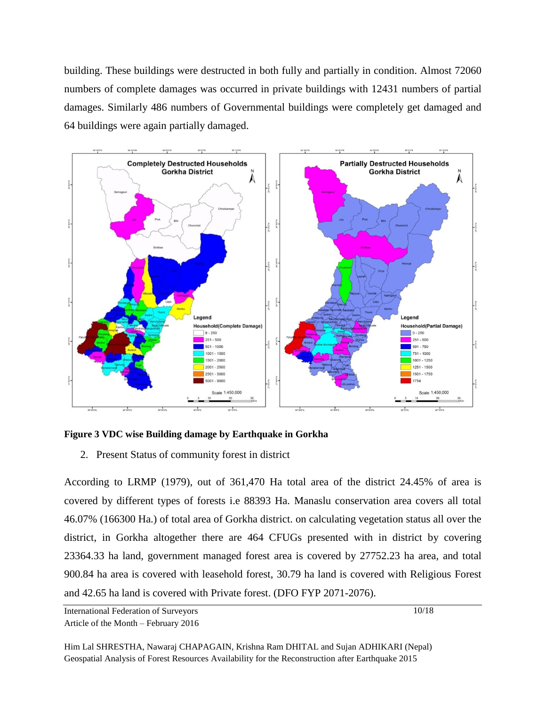building. These buildings were destructed in both fully and partially in condition. Almost 72060 numbers of complete damages was occurred in private buildings with 12431 numbers of partial damages. Similarly 486 numbers of Governmental buildings were completely get damaged and 64 buildings were again partially damaged.



**Figure 3 VDC wise Building damage by Earthquake in Gorkha**

2. Present Status of community forest in district

According to LRMP (1979), out of 361,470 Ha total area of the district 24.45% of area is covered by different types of forests i.e 88393 Ha. Manaslu conservation area covers all total 46.07% (166300 Ha.) of total area of Gorkha district. on calculating vegetation status all over the district, in Gorkha altogether there are 464 CFUGs presented with in district by covering 23364.33 ha land, government managed forest area is covered by 27752.23 ha area, and total 900.84 ha area is covered with leasehold forest, 30.79 ha land is covered with Religious Forest and 42.65 ha land is covered with Private forest. (DFO FYP 2071-2076).

International Federation of Surveyors Article of the Month – February 2016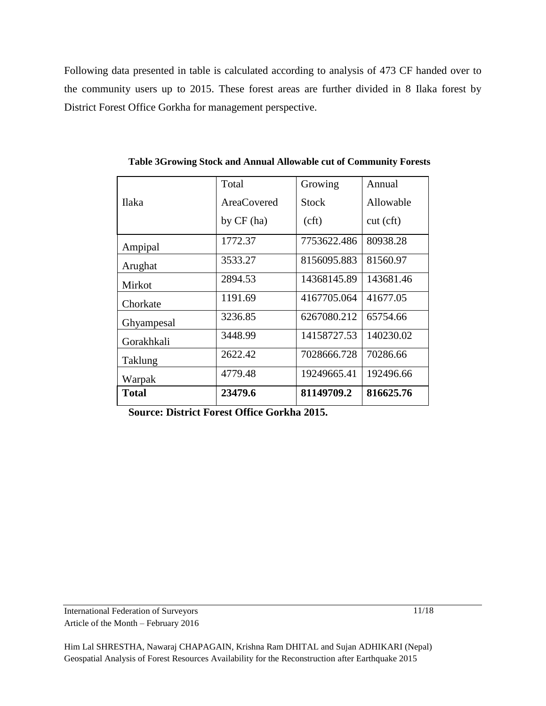Following data presented in table is calculated according to analysis of 473 CF handed over to the community users up to 2015. These forest areas are further divided in 8 Ilaka forest by District Forest Office Gorkha for management perspective.

|              | Total              | Growing     | Annual    |
|--------------|--------------------|-------------|-----------|
| <b>Ilaka</b> | <b>AreaCovered</b> | Stock       | Allowable |
|              | by $CF$ (ha)       | (cf)        | cut (cft) |
| Ampipal      | 1772.37            | 7753622.486 | 80938.28  |
| Arughat      | 3533.27            | 8156095.883 | 81560.97  |
| Mirkot       | 2894.53            | 14368145.89 | 143681.46 |
| Chorkate     | 1191.69            | 4167705.064 | 41677.05  |
| Ghyampesal   | 3236.85            | 6267080.212 | 65754.66  |
| Gorakhkali   | 3448.99            | 14158727.53 | 140230.02 |
| Taklung      | 2622.42            | 7028666.728 | 70286.66  |
| Warpak       | 4779.48            | 19249665.41 | 192496.66 |
| <b>Total</b> | 23479.6            | 81149709.2  | 816625.76 |

**Table 3Growing Stock and Annual Allowable cut of Community Forests**

**Source: District Forest Office Gorkha 2015.**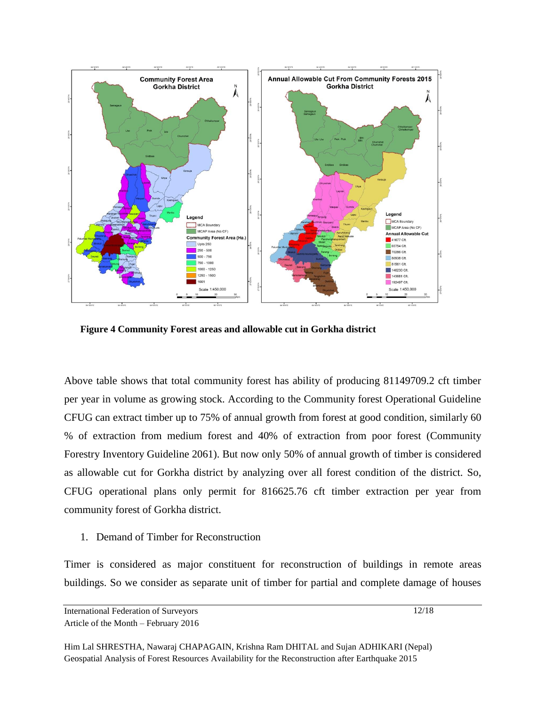

**Figure 4 Community Forest areas and allowable cut in Gorkha district**

Above table shows that total community forest has ability of producing 81149709.2 cft timber per year in volume as growing stock. According to the Community forest Operational Guideline CFUG can extract timber up to 75% of annual growth from forest at good condition, similarly 60 % of extraction from medium forest and 40% of extraction from poor forest (Community Forestry Inventory Guideline 2061). But now only 50% of annual growth of timber is considered as allowable cut for Gorkha district by analyzing over all forest condition of the district. So, CFUG operational plans only permit for 816625.76 cft timber extraction per year from community forest of Gorkha district.

1. Demand of Timber for Reconstruction

Timer is considered as major constituent for reconstruction of buildings in remote areas buildings. So we consider as separate unit of timber for partial and complete damage of houses

International Federation of Surveyors Article of the Month – February 2016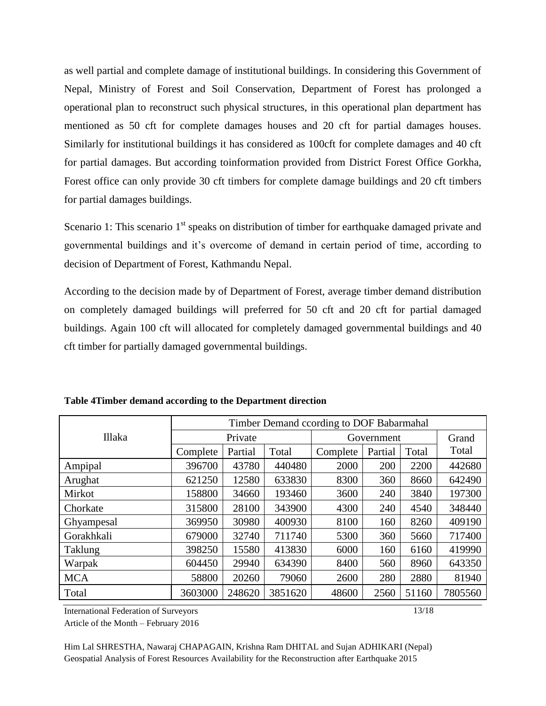as well partial and complete damage of institutional buildings. In considering this Government of Nepal, Ministry of Forest and Soil Conservation, Department of Forest has prolonged a operational plan to reconstruct such physical structures, in this operational plan department has mentioned as 50 cft for complete damages houses and 20 cft for partial damages houses. Similarly for institutional buildings it has considered as 100cft for complete damages and 40 cft for partial damages. But according toinformation provided from District Forest Office Gorkha, Forest office can only provide 30 cft timbers for complete damage buildings and 20 cft timbers for partial damages buildings.

Scenario 1: This scenario  $1<sup>st</sup>$  speaks on distribution of timber for earthquake damaged private and governmental buildings and it's overcome of demand in certain period of time, according to decision of Department of Forest, Kathmandu Nepal.

According to the decision made by of Department of Forest, average timber demand distribution on completely damaged buildings will preferred for 50 cft and 20 cft for partial damaged buildings. Again 100 cft will allocated for completely damaged governmental buildings and 40 cft timber for partially damaged governmental buildings.

|            | Timber Demand ccording to DOF Babarmahal |         |         |          |            |       |         |  |  |
|------------|------------------------------------------|---------|---------|----------|------------|-------|---------|--|--|
| Illaka     | Private                                  |         |         |          | Government |       | Grand   |  |  |
|            | Complete                                 | Partial | Total   | Complete | Partial    | Total | Total   |  |  |
| Ampipal    | 396700                                   | 43780   | 440480  | 2000     | 200        | 2200  | 442680  |  |  |
| Arughat    | 621250                                   | 12580   | 633830  | 8300     | 360        | 8660  | 642490  |  |  |
| Mirkot     | 158800                                   | 34660   | 193460  | 3600     | 240        | 3840  | 197300  |  |  |
| Chorkate   | 315800                                   | 28100   | 343900  | 4300     | 240        | 4540  | 348440  |  |  |
| Ghyampesal | 369950                                   | 30980   | 400930  | 8100     | 160        | 8260  | 409190  |  |  |
| Gorakhkali | 679000                                   | 32740   | 711740  | 5300     | 360        | 5660  | 717400  |  |  |
| Taklung    | 398250                                   | 15580   | 413830  | 6000     | 160        | 6160  | 419990  |  |  |
| Warpak     | 604450                                   | 29940   | 634390  | 8400     | 560        | 8960  | 643350  |  |  |
| <b>MCA</b> | 58800                                    | 20260   | 79060   | 2600     | 280        | 2880  | 81940   |  |  |
| Total      | 3603000                                  | 248620  | 3851620 | 48600    | 2560       | 51160 | 7805560 |  |  |

**Table 4Timber demand according to the Department direction**

International Federation of Surveyors

Article of the Month – February 2016

Him Lal SHRESTHA, Nawaraj CHAPAGAIN, Krishna Ram DHITAL and Sujan ADHIKARI (Nepal) Geospatial Analysis of Forest Resources Availability for the Reconstruction after Earthquake 2015

13/18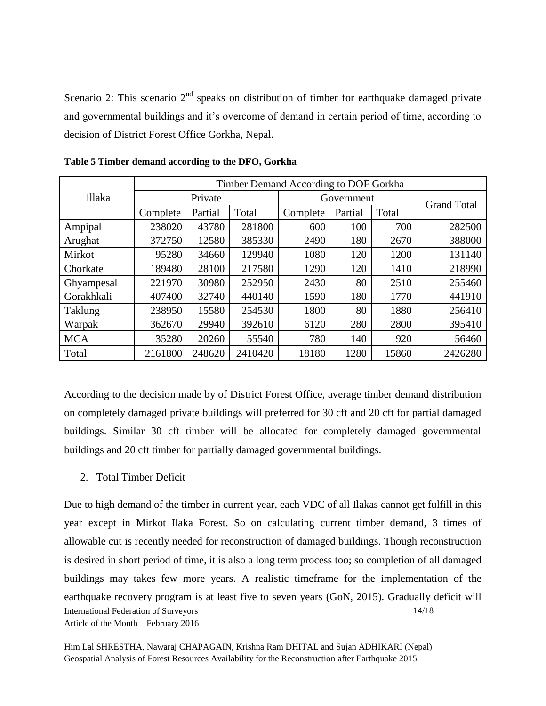Scenario 2: This scenario  $2<sup>nd</sup>$  speaks on distribution of timber for earthquake damaged private and governmental buildings and it's overcome of demand in certain period of time, according to decision of District Forest Office Gorkha, Nepal.

|            | Timber Demand According to DOF Gorkha |         |         |          |            |       |                    |  |  |
|------------|---------------------------------------|---------|---------|----------|------------|-------|--------------------|--|--|
| Illaka     |                                       | Private |         |          | Government |       |                    |  |  |
|            | Complete                              | Partial | Total   | Complete | Partial    | Total | <b>Grand Total</b> |  |  |
| Ampipal    | 238020                                | 43780   | 281800  | 600      | 100        | 700   | 282500             |  |  |
| Arughat    | 372750                                | 12580   | 385330  | 2490     | 180        | 2670  | 388000             |  |  |
| Mirkot     | 95280                                 | 34660   | 129940  | 1080     | 120        | 1200  | 131140             |  |  |
| Chorkate   | 189480                                | 28100   | 217580  | 1290     | 120        | 1410  | 218990             |  |  |
| Ghyampesal | 221970                                | 30980   | 252950  | 2430     | 80         | 2510  | 255460             |  |  |
| Gorakhkali | 407400                                | 32740   | 440140  | 1590     | 180        | 1770  | 441910             |  |  |
| Taklung    | 238950                                | 15580   | 254530  | 1800     | 80         | 1880  | 256410             |  |  |
| Warpak     | 362670                                | 29940   | 392610  | 6120     | 280        | 2800  | 395410             |  |  |
| <b>MCA</b> | 35280                                 | 20260   | 55540   | 780      | 140        | 920   | 56460              |  |  |
| Total      | 2161800                               | 248620  | 2410420 | 18180    | 1280       | 15860 | 2426280            |  |  |

**Table 5 Timber demand according to the DFO, Gorkha**

According to the decision made by of District Forest Office, average timber demand distribution on completely damaged private buildings will preferred for 30 cft and 20 cft for partial damaged buildings. Similar 30 cft timber will be allocated for completely damaged governmental buildings and 20 cft timber for partially damaged governmental buildings.

2. Total Timber Deficit

Due to high demand of the timber in current year, each VDC of all Ilakas cannot get fulfill in this year except in Mirkot Ilaka Forest. So on calculating current timber demand, 3 times of allowable cut is recently needed for reconstruction of damaged buildings. Though reconstruction is desired in short period of time, it is also a long term process too; so completion of all damaged buildings may takes few more years. A realistic timeframe for the implementation of the earthquake recovery program is at least five to seven years (GoN, 2015). Gradually deficit will

14/18

International Federation of Surveyors Article of the Month – February 2016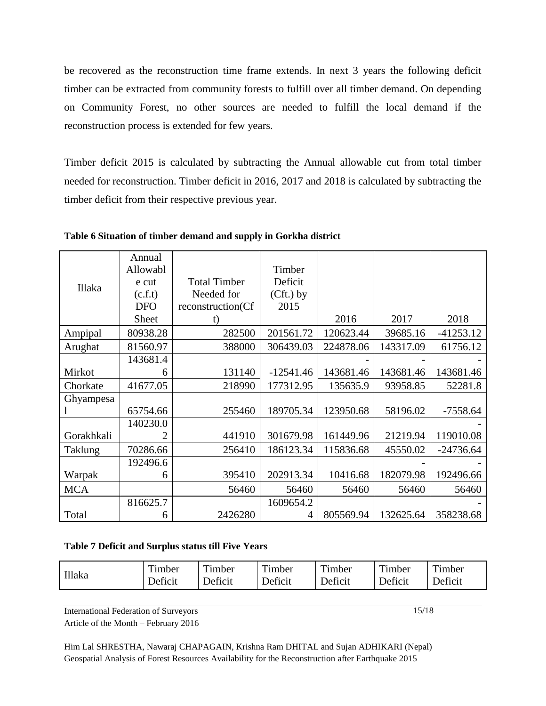be recovered as the reconstruction time frame extends. In next 3 years the following deficit timber can be extracted from community forests to fulfill over all timber demand. On depending on Community Forest, no other sources are needed to fulfill the local demand if the reconstruction process is extended for few years.

Timber deficit 2015 is calculated by subtracting the Annual allowable cut from total timber needed for reconstruction. Timber deficit in 2016, 2017 and 2018 is calculated by subtracting the timber deficit from their respective previous year.

|            | Annual       |                     |             |           |           |             |
|------------|--------------|---------------------|-------------|-----------|-----------|-------------|
|            | Allowabl     |                     | Timber      |           |           |             |
| Illaka     | e cut        | <b>Total Timber</b> | Deficit     |           |           |             |
|            | (c.f.t)      | Needed for          | $(Cft.)$ by |           |           |             |
|            | <b>DFO</b>   | reconstruction(Cf   | 2015        |           |           |             |
|            | <b>Sheet</b> | t)                  |             | 2016      | 2017      | 2018        |
| Ampipal    | 80938.28     | 282500              | 201561.72   | 120623.44 | 39685.16  | $-41253.12$ |
| Arughat    | 81560.97     | 388000              | 306439.03   | 224878.06 | 143317.09 | 61756.12    |
|            | 143681.4     |                     |             |           |           |             |
| Mirkot     | 6            | 131140              | $-12541.46$ | 143681.46 | 143681.46 | 143681.46   |
| Chorkate   | 41677.05     | 218990              | 177312.95   | 135635.9  | 93958.85  | 52281.8     |
| Ghyampesa  |              |                     |             |           |           |             |
|            | 65754.66     | 255460              | 189705.34   | 123950.68 | 58196.02  | $-7558.64$  |
|            | 140230.0     |                     |             |           |           |             |
| Gorakhkali |              | 441910              | 301679.98   | 161449.96 | 21219.94  | 119010.08   |
| Taklung    | 70286.66     | 256410              | 186123.34   | 115836.68 | 45550.02  | $-24736.64$ |
|            | 192496.6     |                     |             |           |           |             |
| Warpak     | 6            | 395410              | 202913.34   | 10416.68  | 182079.98 | 192496.66   |
| <b>MCA</b> |              | 56460               | 56460       | 56460     | 56460     | 56460       |
|            | 816625.7     |                     | 1609654.2   |           |           |             |
| Total      | 6            | 2426280             | 4           | 805569.94 | 132625.64 | 358238.68   |

**Table 6 Situation of timber demand and supply in Gorkha district**

#### **Table 7 Deficit and Surplus status till Five Years**

| Illaka | $\mathbf{m}$<br>l imber | $\mathbf{m}$ .<br>l'imber | $\mathbf{m}$<br>1 imber | Timber  | Timber  | Timber  |
|--------|-------------------------|---------------------------|-------------------------|---------|---------|---------|
|        | Deficit                 | Deficit                   | Deficit                 | Deficit | Deficit | Deficit |

International Federation of Surveyors

Article of the Month – February 2016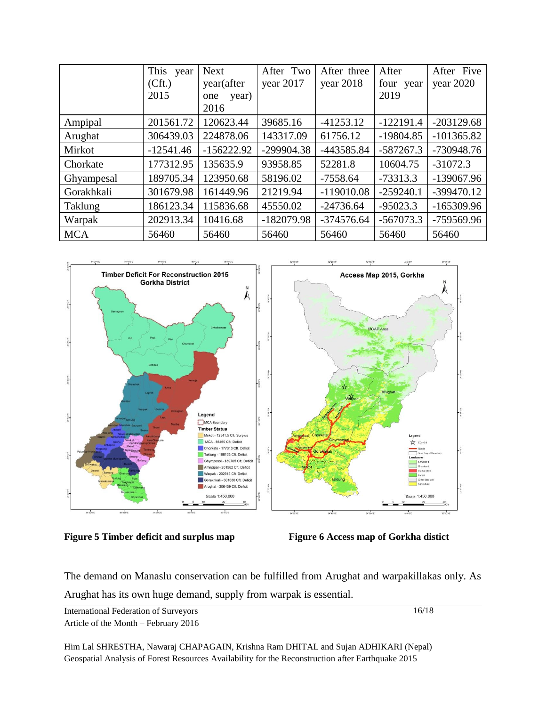|            | This<br>year<br>(Cft.)<br>2015 | <b>Next</b><br>year(after<br>year)<br>one<br>2016 | After Two<br>year 2017 | After three<br>year 2018 | After<br>four year<br>2019 | After Five<br>year 2020 |
|------------|--------------------------------|---------------------------------------------------|------------------------|--------------------------|----------------------------|-------------------------|
| Ampipal    | 201561.72                      | 120623.44                                         | 39685.16               | $-41253.12$              | $-122191.4$                | $-203129.68$            |
| Arughat    | 306439.03                      | 224878.06                                         | 143317.09              | 61756.12                 | $-19804.85$                | $-101365.82$            |
| Mirkot     | $-12541.46$                    | $-156222.92$                                      | $-299904.38$           | -443585.84               | $-587267.3$                | $-730948.76$            |
| Chorkate   | 177312.95                      | 135635.9                                          | 93958.85               | 52281.8                  | 10604.75                   | $-31072.3$              |
| Ghyampesal | 189705.34                      | 123950.68                                         | 58196.02               | $-7558.64$               | $-73313.3$                 | -139067.96              |
| Gorakhkali | 301679.98                      | 161449.96                                         | 21219.94               | $-119010.08$             | $-259240.1$                | -399470.12              |
| Taklung    | 186123.34                      | 115836.68                                         | 45550.02               | $-24736.64$              | $-95023.3$                 | $-165309.96$            |
| Warpak     | 202913.34                      | 10416.68                                          | $-182079.98$           | $-374576.64$             | $-567073.3$                | -759569.96              |
| <b>MCA</b> | 56460                          | 56460                                             | 56460                  | 56460                    | 56460                      | 56460                   |



**Figure 5 Timber deficit and surplus map Figure 6 Access map of Gorkha distict**

The demand on Manaslu conservation can be fulfilled from Arughat and warpakillakas only. As Arughat has its own huge demand, supply from warpak is essential.

International Federation of Surveyors Article of the Month – February 2016 16/18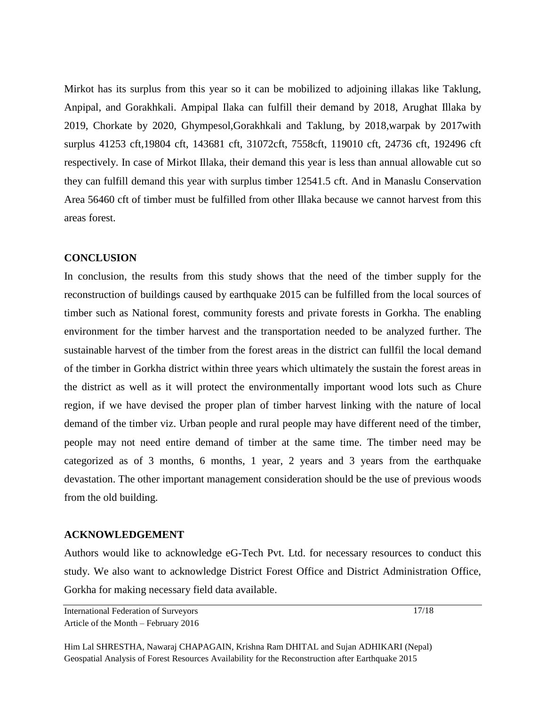Mirkot has its surplus from this year so it can be mobilized to adjoining illakas like Taklung, Anpipal, and Gorakhkali. Ampipal Ilaka can fulfill their demand by 2018, Arughat Illaka by 2019, Chorkate by 2020, Ghympesol,Gorakhkali and Taklung, by 2018,warpak by 2017with surplus 41253 cft,19804 cft, 143681 cft, 31072cft, 7558cft, 119010 cft, 24736 cft, 192496 cft respectively. In case of Mirkot Illaka, their demand this year is less than annual allowable cut so they can fulfill demand this year with surplus timber 12541.5 cft. And in Manaslu Conservation Area 56460 cft of timber must be fulfilled from other Illaka because we cannot harvest from this areas forest.

#### **CONCLUSION**

In conclusion, the results from this study shows that the need of the timber supply for the reconstruction of buildings caused by earthquake 2015 can be fulfilled from the local sources of timber such as National forest, community forests and private forests in Gorkha. The enabling environment for the timber harvest and the transportation needed to be analyzed further. The sustainable harvest of the timber from the forest areas in the district can fullfil the local demand of the timber in Gorkha district within three years which ultimately the sustain the forest areas in the district as well as it will protect the environmentally important wood lots such as Chure region, if we have devised the proper plan of timber harvest linking with the nature of local demand of the timber viz. Urban people and rural people may have different need of the timber, people may not need entire demand of timber at the same time. The timber need may be categorized as of 3 months, 6 months, 1 year, 2 years and 3 years from the earthquake devastation. The other important management consideration should be the use of previous woods from the old building.

#### **ACKNOWLEDGEMENT**

Authors would like to acknowledge eG-Tech Pvt. Ltd. for necessary resources to conduct this study. We also want to acknowledge District Forest Office and District Administration Office, Gorkha for making necessary field data available.

International Federation of Surveyors Article of the Month – February 2016 17/18